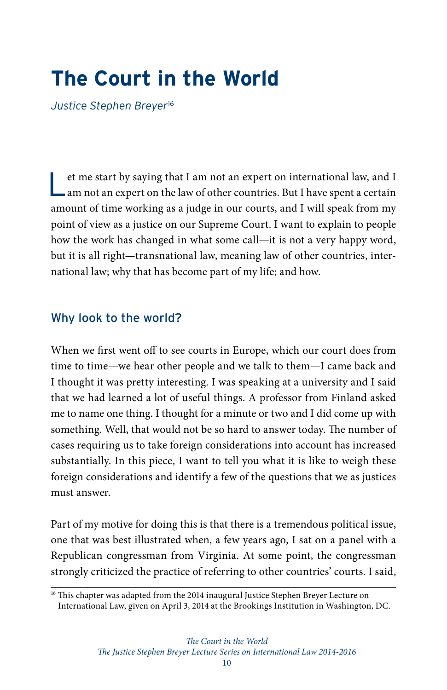# **The Court in the World**

*Justice Stephen Breyer*<sup>16</sup>

et me start by saying that I am not an expert on international law, and I am not an expert on the law of other countries. But I have spent a certain amount of time working as a judge in our courts, and I will speak from my point of view as a justice on our Supreme Court. I want to explain to people how the work has changed in what some call—it is not a very happy word, but it is all right—transnational law, meaning law of other countries, international law; why that has become part of my life; and how.

## Why look to the world?

When we first went off to see courts in Europe, which our court does from time to time—we hear other people and we talk to them—I came back and I thought it was pretty interesting. I was speaking at a university and I said that we had learned a lot of useful things. A professor from Finland asked me to name one thing. I thought for a minute or two and I did come up with something. Well, that would not be so hard to answer today. The number of cases requiring us to take foreign considerations into account has increased substantially. In this piece, I want to tell you what it is like to weigh these foreign considerations and identify a few of the questions that we as justices must answer.

Part of my motive for doing this is that there is a tremendous political issue, one that was best illustrated when, a few years ago, I sat on a panel with a Republican congressman from Virginia. At some point, the congressman strongly criticized the practice of referring to other countries' courts. I said,

<sup>&</sup>lt;sup>16</sup> This chapter was adapted from the 2014 inaugural Justice Stephen Breyer Lecture on [International Law](https://www.brookings.edu/events/the-court-in-the-world-the-first-annual-justice-stephen-breyer-lecture-on-international-law/), given on April 3, 2014 at the Brookings Institution in Washington, DC.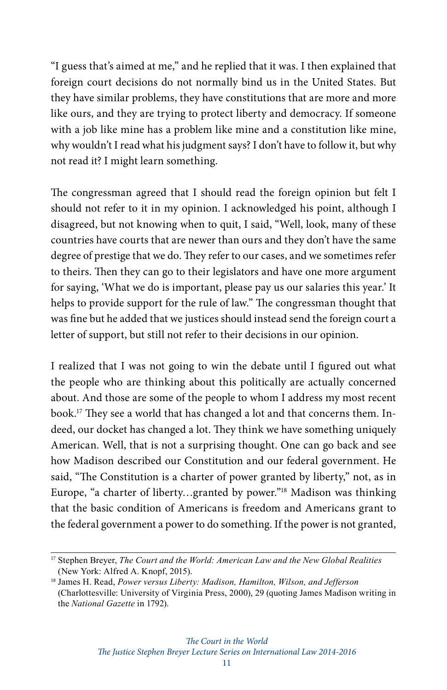"I guess that's aimed at me," and he replied that it was. I then explained that foreign court decisions do not normally bind us in the United States. But they have similar problems, they have constitutions that are more and more like ours, and they are trying to protect liberty and democracy. If someone with a job like mine has a problem like mine and a constitution like mine, why wouldn't I read what his judgment says? I don't have to follow it, but why not read it? I might learn something.

The congressman agreed that I should read the foreign opinion but felt I should not refer to it in my opinion. I acknowledged his point, although I disagreed, but not knowing when to quit, I said, "Well, look, many of these countries have courts that are newer than ours and they don't have the same degree of prestige that we do. They refer to our cases, and we sometimes refer to theirs. Then they can go to their legislators and have one more argument for saying, 'What we do is important, please pay us our salaries this year.' It helps to provide support for the rule of law." The congressman thought that was fine but he added that we justices should instead send the foreign court a letter of support, but still not refer to their decisions in our opinion.

I realized that I was not going to win the debate until I figured out what the people who are thinking about this politically are actually concerned about. And those are some of the people to whom I address my most recent book.17 They see a world that has changed a lot and that concerns them. Indeed, our docket has changed a lot. They think we have something uniquely American. Well, that is not a surprising thought. One can go back and see how Madison described our Constitution and our federal government. He said, "The Constitution is a charter of power granted by liberty," not, as in Europe, "a charter of liberty…granted by power."18 Madison was thinking that the basic condition of Americans is freedom and Americans grant to the federal government a power to do something. If the power is not granted,

<sup>17</sup> Stephen Breyer, *The Court and the World: American Law and the New Global Realities* (New York: Alfred A. Knopf, 2015).

<sup>18</sup> James H. Read, *Power versus Liberty: Madison, Hamilton, Wilson, and Jefferson* (Charlottesville: University of Virginia Press, 2000), 29 (quoting James Madison writing in the *National Gazette* in 1792).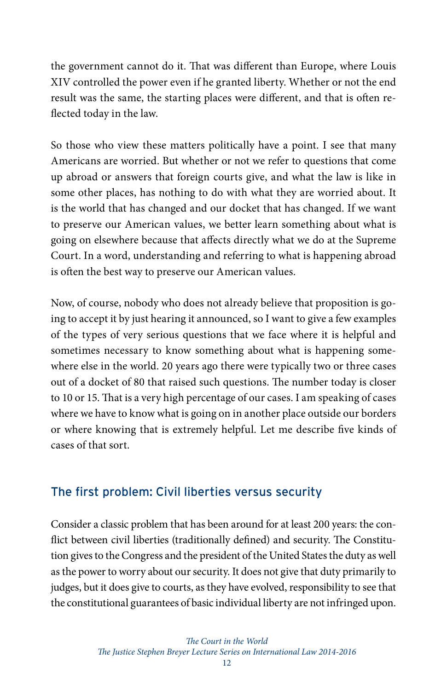the government cannot do it. That was different than Europe, where Louis XIV controlled the power even if he granted liberty. Whether or not the end result was the same, the starting places were different, and that is often reflected today in the law.

So those who view these matters politically have a point. I see that many Americans are worried. But whether or not we refer to questions that come up abroad or answers that foreign courts give, and what the law is like in some other places, has nothing to do with what they are worried about. It is the world that has changed and our docket that has changed. If we want to preserve our American values, we better learn something about what is going on elsewhere because that affects directly what we do at the Supreme Court. In a word, understanding and referring to what is happening abroad is often the best way to preserve our American values.

Now, of course, nobody who does not already believe that proposition is going to accept it by just hearing it announced, so I want to give a few examples of the types of very serious questions that we face where it is helpful and sometimes necessary to know something about what is happening somewhere else in the world. 20 years ago there were typically two or three cases out of a docket of 80 that raised such questions. The number today is closer to 10 or 15. That is a very high percentage of our cases. I am speaking of cases where we have to know what is going on in another place outside our borders or where knowing that is extremely helpful. Let me describe five kinds of cases of that sort.

## The first problem: Civil liberties versus security

Consider a classic problem that has been around for at least 200 years: the conflict between civil liberties (traditionally defined) and security. The Constitution gives to the Congress and the president of the United States the duty as well as the power to worry about our security. It does not give that duty primarily to judges, but it does give to courts, as they have evolved, responsibility to see that the constitutional guarantees of basic individual liberty are not infringed upon.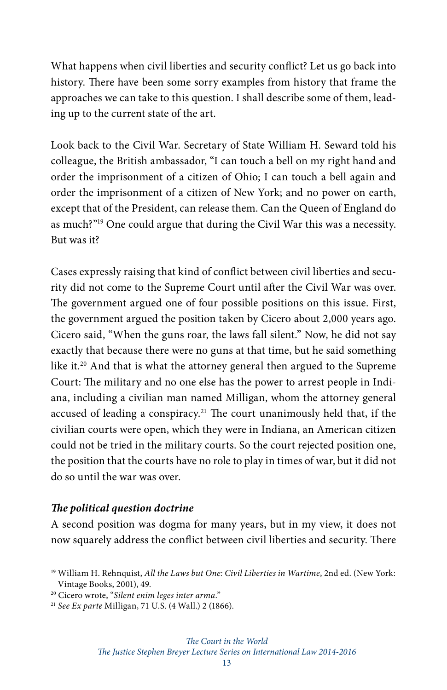What happens when civil liberties and security conflict? Let us go back into history. There have been some sorry examples from history that frame the approaches we can take to this question. I shall describe some of them, leading up to the current state of the art.

Look back to the Civil War. Secretary of State William H. Seward told his colleague, the British ambassador, "I can touch a bell on my right hand and order the imprisonment of a citizen of Ohio; I can touch a bell again and order the imprisonment of a citizen of New York; and no power on earth, except that of the President, can release them. Can the Queen of England do as much?"19 One could argue that during the Civil War this was a necessity. But was it?

Cases expressly raising that kind of conflict between civil liberties and security did not come to the Supreme Court until after the Civil War was over. The government argued one of four possible positions on this issue. First, the government argued the position taken by Cicero about 2,000 years ago. Cicero said, "When the guns roar, the laws fall silent." Now, he did not say exactly that because there were no guns at that time, but he said something like it.20 And that is what the attorney general then argued to the Supreme Court: The military and no one else has the power to arrest people in Indiana, including a civilian man named Milligan, whom the attorney general accused of leading a conspiracy.21 The court unanimously held that, if the civilian courts were open, which they were in Indiana, an American citizen could not be tried in the military courts. So the court rejected position one, the position that the courts have no role to play in times of war, but it did not do so until the war was over.

#### *The political question doctrine*

A second position was dogma for many years, but in my view, it does not now squarely address the conflict between civil liberties and security. There

<sup>19</sup> William H. Rehnquist, *All the Laws but One: Civil Liberties in Wartime*, 2nd ed. (New York: Vintage Books, 2001), 49.

<sup>20</sup> Cicero wrote, "*Silent enim leges inter arma*."

<sup>21</sup> *See Ex parte* Milligan, 71 U.S. (4 Wall.) 2 (1866).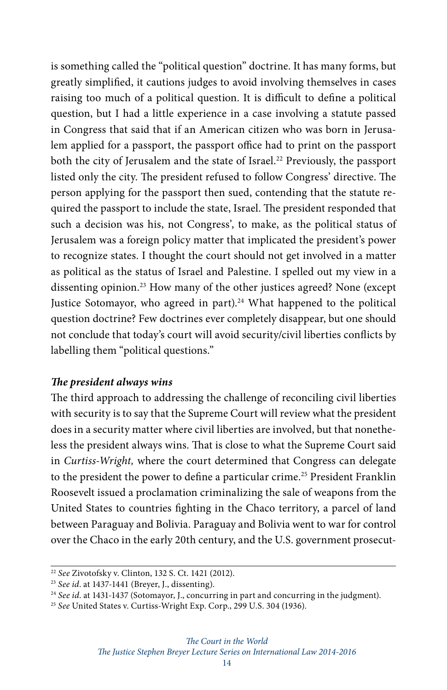is something called the "political question" doctrine. It has many forms, but greatly simplified, it cautions judges to avoid involving themselves in cases raising too much of a political question. It is difficult to define a political question, but I had a little experience in a case involving a statute passed in Congress that said that if an American citizen who was born in Jerusalem applied for a passport, the passport office had to print on the passport both the city of Jerusalem and the state of Israel.<sup>22</sup> Previously, the passport listed only the city. The president refused to follow Congress' directive. The person applying for the passport then sued, contending that the statute required the passport to include the state, Israel. The president responded that such a decision was his, not Congress', to make, as the political status of Jerusalem was a foreign policy matter that implicated the president's power to recognize states. I thought the court should not get involved in a matter as political as the status of Israel and Palestine. I spelled out my view in a dissenting opinion.<sup>23</sup> How many of the other justices agreed? None (except Justice Sotomayor, who agreed in part).<sup>24</sup> What happened to the political question doctrine? Few doctrines ever completely disappear, but one should not conclude that today's court will avoid security/civil liberties conflicts by labelling them "political questions."

#### *The president always wins*

The third approach to addressing the challenge of reconciling civil liberties with security is to say that the Supreme Court will review what the president does in a security matter where civil liberties are involved, but that nonetheless the president always wins. That is close to what the Supreme Court said in *Curtiss-Wright,* where the court determined that Congress can delegate to the president the power to define a particular crime.<sup>25</sup> President Franklin Roosevelt issued a proclamation criminalizing the sale of weapons from the United States to countries fighting in the Chaco territory, a parcel of land between Paraguay and Bolivia. Paraguay and Bolivia went to war for control over the Chaco in the early 20th century, and the U.S. government prosecut-

<sup>22</sup> *See* Zivotofsky v. Clinton, 132 S. Ct. 1421 (2012).

<sup>23</sup> *See id*. at 1437-1441 (Breyer, J., dissenting).

<sup>24</sup> *See id*. at 1431-1437 (Sotomayor, J., concurring in part and concurring in the judgment).

<sup>25</sup> *See* United States v. Curtiss-Wright Exp. Corp., 299 U.S. 304 (1936).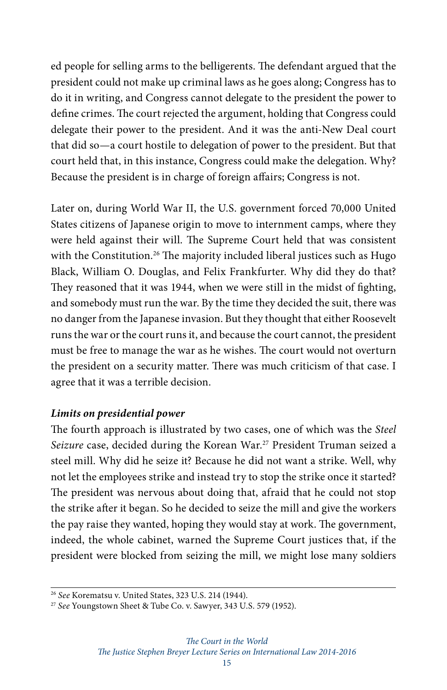ed people for selling arms to the belligerents. The defendant argued that the president could not make up criminal laws as he goes along; Congress has to do it in writing, and Congress cannot delegate to the president the power to define crimes. The court rejected the argument, holding that Congress could delegate their power to the president. And it was the anti-New Deal court that did so—a court hostile to delegation of power to the president. But that court held that, in this instance, Congress could make the delegation. Why? Because the president is in charge of foreign affairs; Congress is not.

Later on, during World War II, the U.S. government forced 70,000 United States citizens of Japanese origin to move to internment camps, where they were held against their will. The Supreme Court held that was consistent with the Constitution.<sup>26</sup> The majority included liberal justices such as Hugo Black, William O. Douglas, and Felix Frankfurter. Why did they do that? They reasoned that it was 1944, when we were still in the midst of fighting, and somebody must run the war. By the time they decided the suit, there was no danger from the Japanese invasion. But they thought that either Roosevelt runs the war or the court runs it, and because the court cannot, the president must be free to manage the war as he wishes. The court would not overturn the president on a security matter. There was much criticism of that case. I agree that it was a terrible decision.

#### *Limits on presidential power*

The fourth approach is illustrated by two cases, one of which was the *Steel Seizure* case, decided during the Korean War.27 President Truman seized a steel mill. Why did he seize it? Because he did not want a strike. Well, why not let the employees strike and instead try to stop the strike once it started? The president was nervous about doing that, afraid that he could not stop the strike after it began. So he decided to seize the mill and give the workers the pay raise they wanted, hoping they would stay at work. The government, indeed, the whole cabinet, warned the Supreme Court justices that, if the president were blocked from seizing the mill, we might lose many soldiers

<sup>26</sup> *See* Korematsu v. United States, 323 U.S. 214 (1944).

<sup>27</sup> *See* Youngstown Sheet & Tube Co. v. Sawyer, 343 U.S. 579 (1952).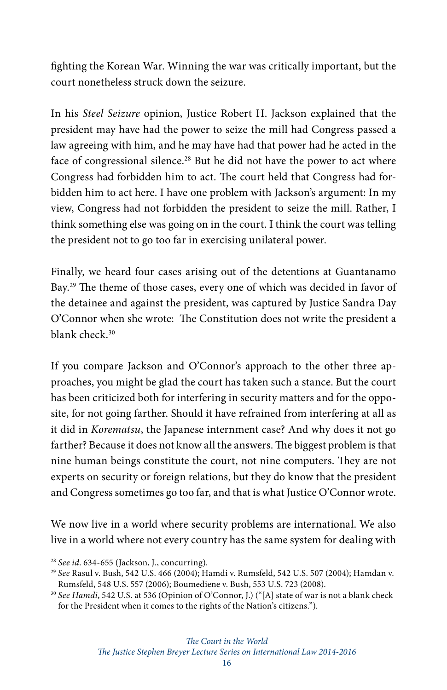fighting the Korean War. Winning the war was critically important, but the court nonetheless struck down the seizure.

In his *Steel Seizure* opinion, Justice Robert H. Jackson explained that the president may have had the power to seize the mill had Congress passed a law agreeing with him, and he may have had that power had he acted in the face of congressional silence.<sup>28</sup> But he did not have the power to act where Congress had forbidden him to act. The court held that Congress had forbidden him to act here. I have one problem with Jackson's argument: In my view, Congress had not forbidden the president to seize the mill. Rather, I think something else was going on in the court. I think the court was telling the president not to go too far in exercising unilateral power.

Finally, we heard four cases arising out of the detentions at Guantanamo Bay.29 The theme of those cases, every one of which was decided in favor of the detainee and against the president, was captured by Justice Sandra Day O'Connor when she wrote: The Constitution does not write the president a blank check.<sup>30</sup>

If you compare Jackson and O'Connor's approach to the other three approaches, you might be glad the court has taken such a stance. But the court has been criticized both for interfering in security matters and for the opposite, for not going farther. Should it have refrained from interfering at all as it did in *Korematsu*, the Japanese internment case? And why does it not go farther? Because it does not know all the answers. The biggest problem is that nine human beings constitute the court, not nine computers. They are not experts on security or foreign relations, but they do know that the president and Congress sometimes go too far, and that is what Justice O'Connor wrote.

We now live in a world where security problems are international. We also live in a world where not every country has the same system for dealing with

*The Justice Stephen Breyer Lecture Series on International Law 2014-2016*

<sup>28</sup> *See id*. 634-655 (Jackson, J., concurring).

<sup>29</sup> *See* Rasul v. Bush, 542 U.S. 466 (2004); Hamdi v. Rumsfeld, 542 U.S. 507 (2004); Hamdan v. Rumsfeld, 548 U.S. 557 (2006); Boumediene v. Bush, 553 U.S. 723 (2008).

<sup>30</sup> *See Hamdi*, 542 U.S. at 536 (Opinion of O'Connor, J.) ("[A] state of war is not a blank check for the President when it comes to the rights of the Nation's citizens.").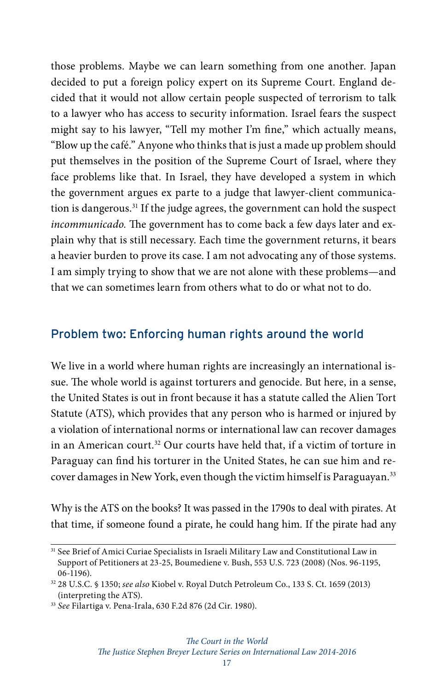those problems. Maybe we can learn something from one another. Japan decided to put a foreign policy expert on its Supreme Court. England decided that it would not allow certain people suspected of terrorism to talk to a lawyer who has access to security information. Israel fears the suspect might say to his lawyer, "Tell my mother I'm fine," which actually means, "Blow up the café." Anyone who thinks that is just a made up problem should put themselves in the position of the Supreme Court of Israel, where they face problems like that. In Israel, they have developed a system in which the government argues ex parte to a judge that lawyer-client communication is dangerous.<sup>31</sup> If the judge agrees, the government can hold the suspect *incommunicado.* The government has to come back a few days later and explain why that is still necessary. Each time the government returns, it bears a heavier burden to prove its case. I am not advocating any of those systems. I am simply trying to show that we are not alone with these problems—and that we can sometimes learn from others what to do or what not to do.

## Problem two: Enforcing human rights around the world

We live in a world where human rights are increasingly an international issue. The whole world is against torturers and genocide. But here, in a sense, the United States is out in front because it has a statute called the Alien Tort Statute (ATS), which provides that any person who is harmed or injured by a violation of international norms or international law can recover damages in an American court.32 Our courts have held that, if a victim of torture in Paraguay can find his torturer in the United States, he can sue him and recover damages in New York, even though the victim himself is Paraguayan.<sup>33</sup>

Why is the ATS on the books? It was passed in the 1790s to deal with pirates. At that time, if someone found a pirate, he could hang him. If the pirate had any

<sup>&</sup>lt;sup>31</sup> See Brief of Amici Curiae Specialists in Israeli Military Law and Constitutional Law in Support of Petitioners at 23-25, Boumediene v. Bush, 553 U.S. 723 (2008) (Nos. 96-1195, 06-1196).

<sup>32</sup> 28 U.S.C. § 1350; *see also* Kiobel v. Royal Dutch Petroleum Co., 133 S. Ct. 1659 (2013) (interpreting the ATS).

<sup>33</sup> *See* Filartiga v. Pena-Irala, 630 F.2d 876 (2d Cir. 1980).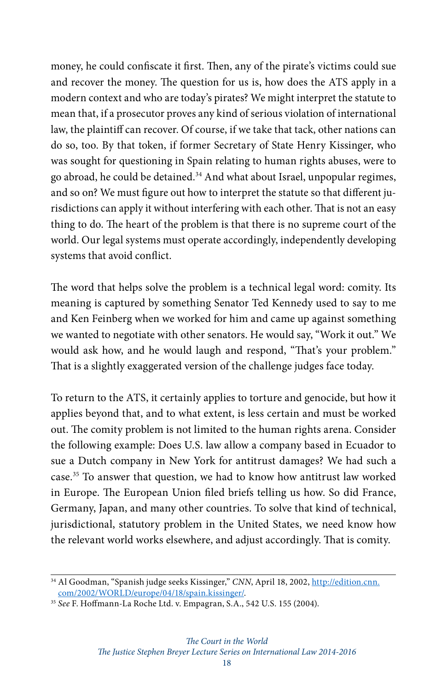money, he could confiscate it first. Then, any of the pirate's victims could sue and recover the money. The question for us is, how does the ATS apply in a modern context and who are today's pirates? We might interpret the statute to mean that, if a prosecutor proves any kind of serious violation of international law, the plaintiff can recover. Of course, if we take that tack, other nations can do so, too. By that token, if former Secretary of State Henry Kissinger, who was sought for questioning in Spain relating to human rights abuses, were to go abroad, he could be detained.34 And what about Israel, unpopular regimes, and so on? We must figure out how to interpret the statute so that different jurisdictions can apply it without interfering with each other. That is not an easy thing to do. The heart of the problem is that there is no supreme court of the world. Our legal systems must operate accordingly, independently developing systems that avoid conflict.

The word that helps solve the problem is a technical legal word: comity. Its meaning is captured by something Senator Ted Kennedy used to say to me and Ken Feinberg when we worked for him and came up against something we wanted to negotiate with other senators. He would say, "Work it out." We would ask how, and he would laugh and respond, "That's your problem." That is a slightly exaggerated version of the challenge judges face today.

To return to the ATS, it certainly applies to torture and genocide, but how it applies beyond that, and to what extent, is less certain and must be worked out. The comity problem is not limited to the human rights arena. Consider the following example: Does U.S. law allow a company based in Ecuador to sue a Dutch company in New York for antitrust damages? We had such a case.35 To answer that question, we had to know how antitrust law worked in Europe. The European Union filed briefs telling us how. So did France, Germany, Japan, and many other countries. To solve that kind of technical, jurisdictional, statutory problem in the United States, we need know how the relevant world works elsewhere, and adjust accordingly. That is comity.

<sup>&</sup>lt;sup>34</sup> Al Goodman, "Spanish judge seeks Kissinger," CNN, April 18, 2002, [http://edition.cnn.](http://edition.cnn.com/2002/WORLD/europe/04/18/spain.kissinger/) [com/2002/WORLD/europe/04/18/spain.kissinger/](http://edition.cnn.com/2002/WORLD/europe/04/18/spain.kissinger/).

<sup>35</sup> *See* F. Hoffmann-La Roche Ltd. v. Empagran, S.A., 542 U.S. 155 (2004).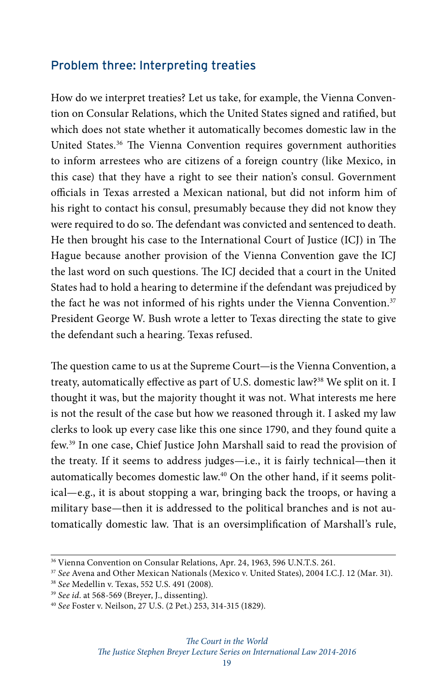### Problem three: Interpreting treaties

How do we interpret treaties? Let us take, for example, the Vienna Convention on Consular Relations, which the United States signed and ratified, but which does not state whether it automatically becomes domestic law in the United States.<sup>36</sup> The Vienna Convention requires government authorities to inform arrestees who are citizens of a foreign country (like Mexico, in this case) that they have a right to see their nation's consul. Government officials in Texas arrested a Mexican national, but did not inform him of his right to contact his consul, presumably because they did not know they were required to do so. The defendant was convicted and sentenced to death. He then brought his case to the International Court of Justice (ICJ) in The Hague because another provision of the Vienna Convention gave the ICJ the last word on such questions. The ICJ decided that a court in the United States had to hold a hearing to determine if the defendant was prejudiced by the fact he was not informed of his rights under the Vienna Convention.<sup>37</sup> President George W. Bush wrote a letter to Texas directing the state to give the defendant such a hearing. Texas refused.

The question came to us at the Supreme Court—is the Vienna Convention, a treaty, automatically effective as part of U.S. domestic law?<sup>38</sup> We split on it. I thought it was, but the majority thought it was not. What interests me here is not the result of the case but how we reasoned through it. I asked my law clerks to look up every case like this one since 1790, and they found quite a few.39 In one case, Chief Justice John Marshall said to read the provision of the treaty. If it seems to address judges—i.e., it is fairly technical—then it automatically becomes domestic law.<sup>40</sup> On the other hand, if it seems political—e.g., it is about stopping a war, bringing back the troops, or having a military base—then it is addressed to the political branches and is not automatically domestic law. That is an oversimplification of Marshall's rule,

<sup>36</sup> Vienna Convention on Consular Relations, Apr. 24, 1963, 596 U.N.T.S. 261.

<sup>37</sup> *See* Avena and Other Mexican Nationals (Mexico v. United States), 2004 I.C.J. 12 (Mar. 31).

<sup>38</sup> *See* Medellin v. Texas, 552 U.S. 491 (2008).

<sup>39</sup> *See id*. at 568-569 (Breyer, J., dissenting).

<sup>40</sup> *See* Foster v. Neilson, 27 U.S. (2 Pet.) 253, 314-315 (1829).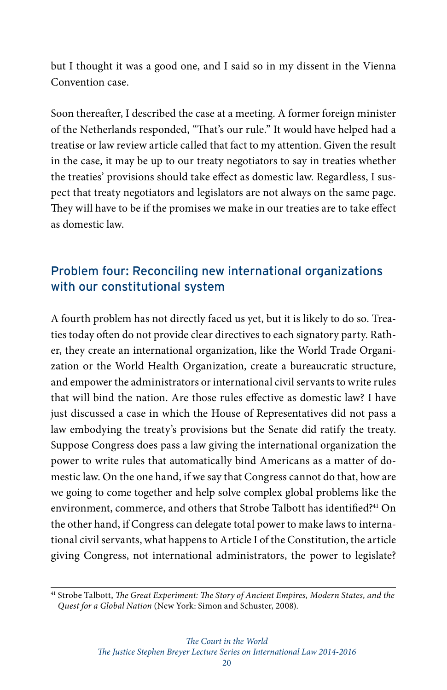but I thought it was a good one, and I said so in my dissent in the Vienna Convention case.

Soon thereafter, I described the case at a meeting. A former foreign minister of the Netherlands responded, "That's our rule." It would have helped had a treatise or law review article called that fact to my attention. Given the result in the case, it may be up to our treaty negotiators to say in treaties whether the treaties' provisions should take effect as domestic law. Regardless, I suspect that treaty negotiators and legislators are not always on the same page. They will have to be if the promises we make in our treaties are to take effect as domestic law.

# Problem four: Reconciling new international organizations with our constitutional system

A fourth problem has not directly faced us yet, but it is likely to do so. Treaties today often do not provide clear directives to each signatory party. Rather, they create an international organization, like the World Trade Organization or the World Health Organization, create a bureaucratic structure, and empower the administrators or international civil servants to write rules that will bind the nation. Are those rules effective as domestic law? I have just discussed a case in which the House of Representatives did not pass a law embodying the treaty's provisions but the Senate did ratify the treaty. Suppose Congress does pass a law giving the international organization the power to write rules that automatically bind Americans as a matter of domestic law. On the one hand, if we say that Congress cannot do that, how are we going to come together and help solve complex global problems like the environment, commerce, and others that Strobe Talbott has identified?<sup>41</sup> On the other hand, if Congress can delegate total power to make laws to international civil servants, what happens to Article I of the Constitution, the article giving Congress, not international administrators, the power to legislate?

<sup>41</sup> Strobe Talbott, *The Great Experiment: The Story of Ancient Empires, Modern States, and the Quest for a Global Nation* (New York: Simon and Schuster, 2008).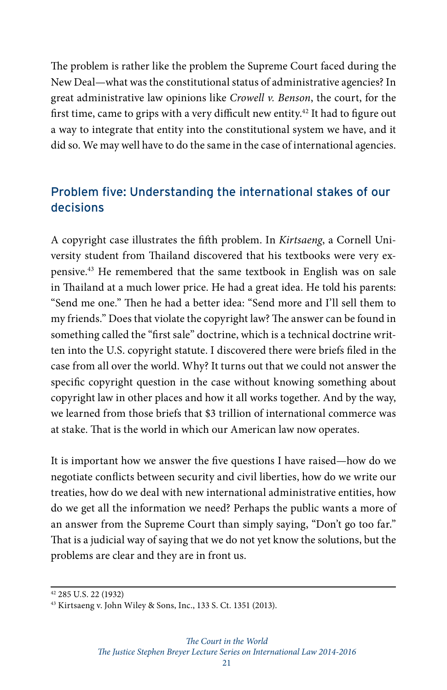The problem is rather like the problem the Supreme Court faced during the New Deal—what was the constitutional status of administrative agencies? In great administrative law opinions like *Crowell v. Benson*, the court, for the first time, came to grips with a very difficult new entity.<sup>42</sup> It had to figure out a way to integrate that entity into the constitutional system we have, and it did so. We may well have to do the same in the case of international agencies.

# Problem five: Understanding the international stakes of our decisions

A copyright case illustrates the fifth problem. In *Kirtsaeng*, a Cornell University student from Thailand discovered that his textbooks were very expensive.43 He remembered that the same textbook in English was on sale in Thailand at a much lower price. He had a great idea. He told his parents: "Send me one." Then he had a better idea: "Send more and I'll sell them to my friends." Does that violate the copyright law? The answer can be found in something called the "first sale" doctrine, which is a technical doctrine written into the U.S. copyright statute. I discovered there were briefs filed in the case from all over the world. Why? It turns out that we could not answer the specific copyright question in the case without knowing something about copyright law in other places and how it all works together. And by the way, we learned from those briefs that \$3 trillion of international commerce was at stake. That is the world in which our American law now operates.

It is important how we answer the five questions I have raised—how do we negotiate conflicts between security and civil liberties, how do we write our treaties, how do we deal with new international administrative entities, how do we get all the information we need? Perhaps the public wants a more of an answer from the Supreme Court than simply saying, "Don't go too far." That is a judicial way of saying that we do not yet know the solutions, but the problems are clear and they are in front us.

<sup>42 285</sup> U.S. 22 (1932)

<sup>43</sup> Kirtsaeng v. John Wiley & Sons, Inc., 133 S. Ct. 1351 (2013).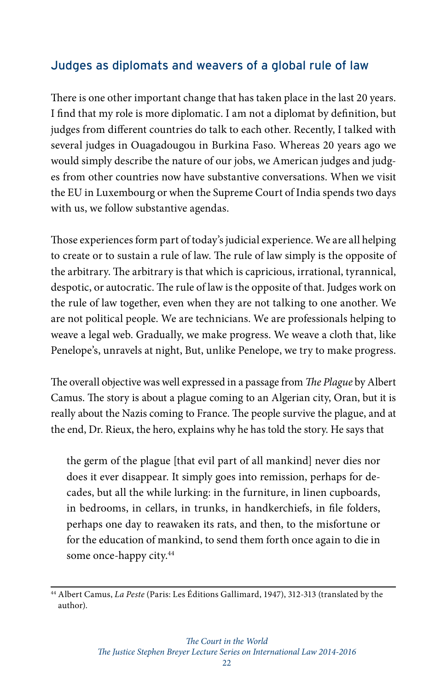## Judges as diplomats and weavers of a global rule of law

There is one other important change that has taken place in the last 20 years. I find that my role is more diplomatic. I am not a diplomat by definition, but judges from different countries do talk to each other. Recently, I talked with several judges in Ouagadougou in Burkina Faso. Whereas 20 years ago we would simply describe the nature of our jobs, we American judges and judges from other countries now have substantive conversations. When we visit the EU in Luxembourg or when the Supreme Court of India spends two days with us, we follow substantive agendas.

Those experiences form part of today's judicial experience. We are all helping to create or to sustain a rule of law. The rule of law simply is the opposite of the arbitrary. The arbitrary is that which is capricious, irrational, tyrannical, despotic, or autocratic. The rule of law is the opposite of that. Judges work on the rule of law together, even when they are not talking to one another. We are not political people. We are technicians. We are professionals helping to weave a legal web. Gradually, we make progress. We weave a cloth that, like Penelope's, unravels at night, But, unlike Penelope, we try to make progress.

The overall objective was well expressed in a passage from *The Plague* by Albert Camus. The story is about a plague coming to an Algerian city, Oran, but it is really about the Nazis coming to France. The people survive the plague, and at the end, Dr. Rieux, the hero, explains why he has told the story. He says that

the germ of the plague [that evil part of all mankind] never dies nor does it ever disappear. It simply goes into remission, perhaps for decades, but all the while lurking: in the furniture, in linen cupboards, in bedrooms, in cellars, in trunks, in handkerchiefs, in file folders, perhaps one day to reawaken its rats, and then, to the misfortune or for the education of mankind, to send them forth once again to die in some once-happy city.<sup>44</sup>

<sup>44</sup> Albert Camus, *La Peste* (Paris: Les Éditions Gallimard, 1947), 312-313 (translated by the author).